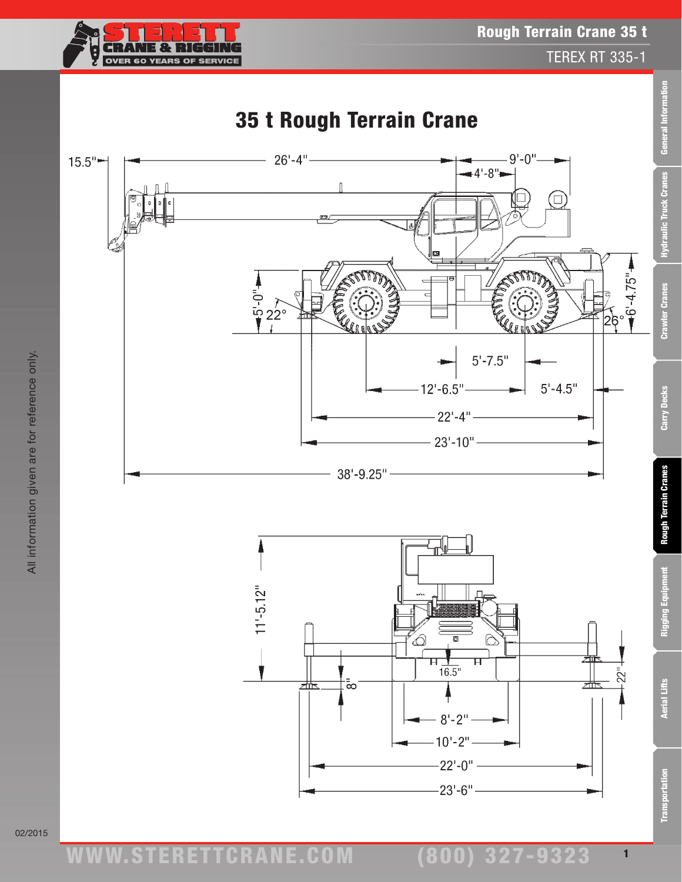

All information given are for reference only.

All information given are for reference only.

02/2015

**Transportation** 

Rigging Equipm

1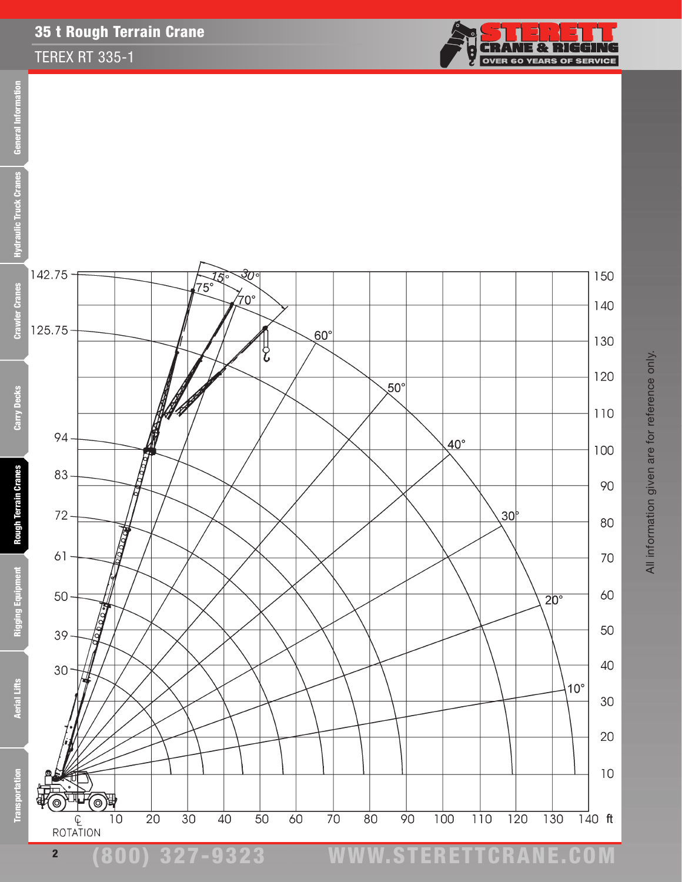## 35 t Rough Terrain Crane

## TEREX RT 335-1



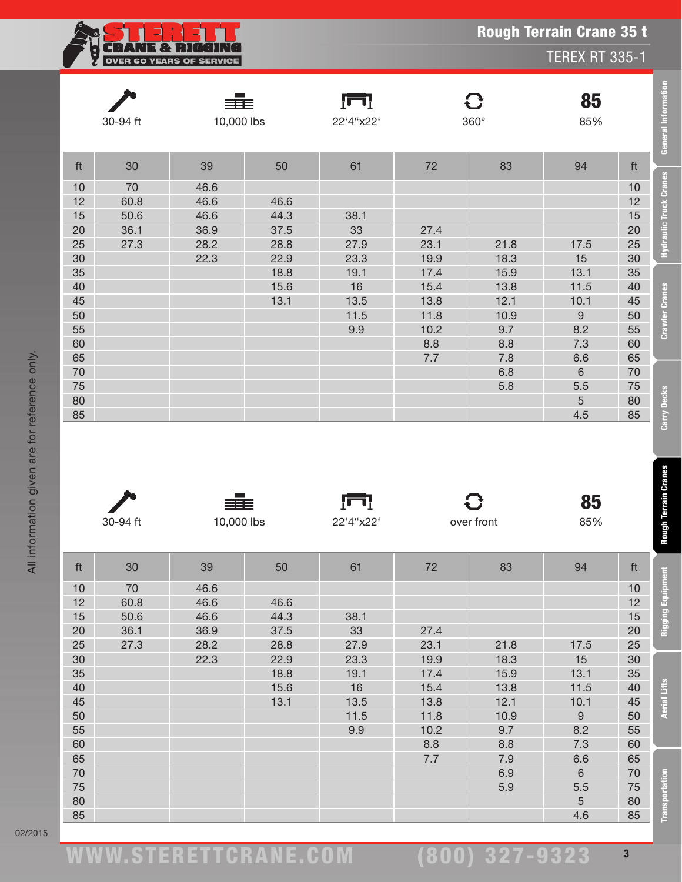| E TRE I                         |
|---------------------------------|
| <b>OVER 60 YEARS OF SERVICE</b> |

| 30-94 ft   |          | 10,000 lbs |      | 22'4"x22' |        | 360°       | 85<br>85%        |          |
|------------|----------|------------|------|-----------|--------|------------|------------------|----------|
| ft         | 30       | 39         | 50   | 61        | $72\,$ | 83         | 94               | ft       |
| 10         | 70       | 46.6       |      |           |        |            |                  | 10       |
| 12         | 60.8     | 46.6       | 46.6 |           |        |            |                  | 12       |
| 15         | 50.6     | 46.6       | 44.3 | 38.1      |        |            |                  | 15       |
| 20         | 36.1     | 36.9       | 37.5 | 33        | 27.4   |            |                  | 20       |
| 25         | 27.3     | 28.2       | 28.8 | 27.9      | 23.1   | 21.8       | 17.5             | 25       |
| 30         |          | 22.3       | 22.9 | 23.3      | 19.9   | 18.3       | 15               | 30       |
| 35         |          |            | 18.8 | 19.1      | 17.4   | 15.9       | 13.1             | 35       |
| 40         |          |            | 15.6 | 16        | 15.4   | 13.8       | 11.5             | 40       |
| 45         |          |            | 13.1 | 13.5      | 13.8   | 12.1       | 10.1             | 45       |
| 50         |          |            |      | 11.5      | 11.8   | 10.9       | $\hbox{9}$       | 50       |
| 55         |          |            |      | 9.9       | 10.2   | 9.7        | 8.2              | 55       |
| 60         |          |            |      |           | 8.8    | 8.8        | 7.3              | 60       |
| 65         |          |            |      |           | 7.7    | 7.8        | 6.6              | 65       |
| 70         |          |            |      |           |        | 6.8        | $\,$ 6 $\,$      | 70       |
| 75         |          |            |      |           |        | 5.8        | 5.5              | 75       |
| 80         |          |            |      |           |        |            | 5                | 80       |
| 85         |          |            |      |           |        |            | 4.5              | 85       |
|            |          |            |      |           |        |            |                  |          |
|            |          |            |      | Įщ        |        | 8          | 85               |          |
|            | 30-94 ft | 10,000 lbs |      | 22'4"x22' |        | over front | 85%              |          |
| ft         | 30       | 39         | 50   | 61        | 72     | 83         | 94               | ft       |
|            | 70       | 46.6       |      |           |        |            |                  |          |
| $10$<br>12 |          | 46.6       | 46.6 |           |        |            |                  | 10<br>12 |
|            | 60.8     |            |      |           |        |            |                  |          |
| 15         | 50.6     | 46.6       | 44.3 | 38.1      |        |            |                  | 15       |
| 20         | 36.1     | 36.9       | 37.5 | 33        | 27.4   |            |                  | 20       |
| 25         | 27.3     | 28.2       | 28.8 | 27.9      | 23.1   | 21.8       | 17.5             | 25       |
| 30         |          | 22.3       | 22.9 | 23.3      | 19.9   | 18.3       | 15               | 30       |
| 35         |          |            | 18.8 | 19.1      | 17.4   | 15.9       | 13.1             | 35       |
| 40         |          |            | 15.6 | 16        | 15.4   | 13.8       | 11.5             | 40       |
| 45         |          |            | 13.1 | 13.5      | 13.8   | 12.1       | 10.1             | 45       |
| 50         |          |            |      | 11.5      | 11.8   | 10.9       | $\boldsymbol{9}$ | 50       |
| 55         |          |            |      | 9.9       | 10.2   | 9.7        | 8.2              | 55       |
| 60         |          |            |      |           | 8.8    | 8.8        | 7.3              | 60       |
| 65         |          |            |      |           | 7.7    | 7.9        | 6.6              | 65       |
| 70         |          |            |      |           |        | 6.9        | $\,6\,$          | 70       |
| 75<br>80   |          |            |      |           |        | 5.9        | 5.5<br>5         | 75<br>80 |

Rough Terrain Crane 35 t

TEREX RT 335-1

**E** 

**Transportati**